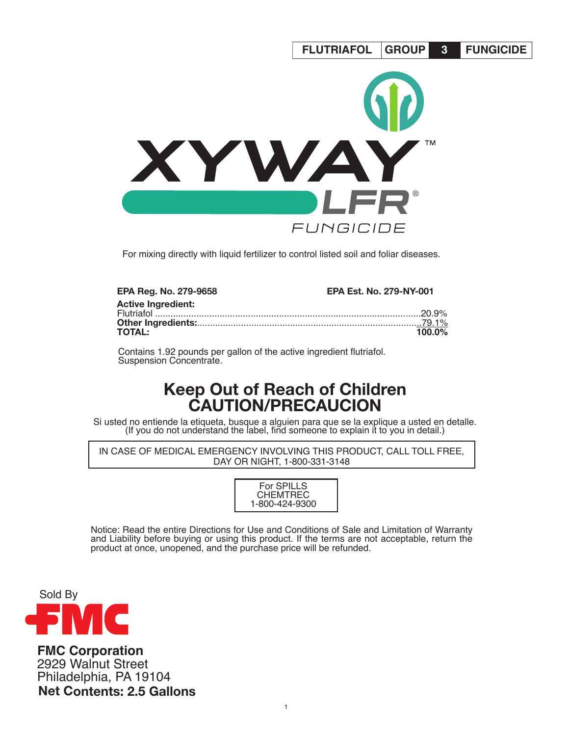

For mixing directly with liquid fertilizer to control listed soil and foliar diseases.

| <b>EPA Reg. No. 279-9658</b> | <b>EPA Est. No. 279-NY-001</b> |
|------------------------------|--------------------------------|
| <b>Active Ingredient:</b>    |                                |
|                              |                                |
| <b>TOTAL:</b>                | $100.0\%$                      |

Contains 1.92 pounds per gallon of the active ingredient flutriafol. Suspension Concentrate.

# **Keep Out of Reach of Children CAUTION/PRECAUCION**

Si usted no entiende la etiqueta, busque a alguien para que se la explique a usted en detalle. (If you do not understand the label, find someone to explain it to you in detail.)

IN CASE OF MEDICAL EMERGENCY INVOLVING THIS PRODUCT, CALL TOLL FREE, DAY OR NIGHT, 1-800-331-3148

> For SPILLS CHEMTREC 1-800-424-9300

Notice: Read the entire Directions for Use and Conditions of Sale and Limitation of Warranty and Liability before buying or using this product. If the terms are not acceptable, return the product at once, unopened, and the purchase price will be refunded.



**FMC Corporation** 2929 Walnut Street Philadelphia, PA 19104 **Net Contents: 2.5 Gallons**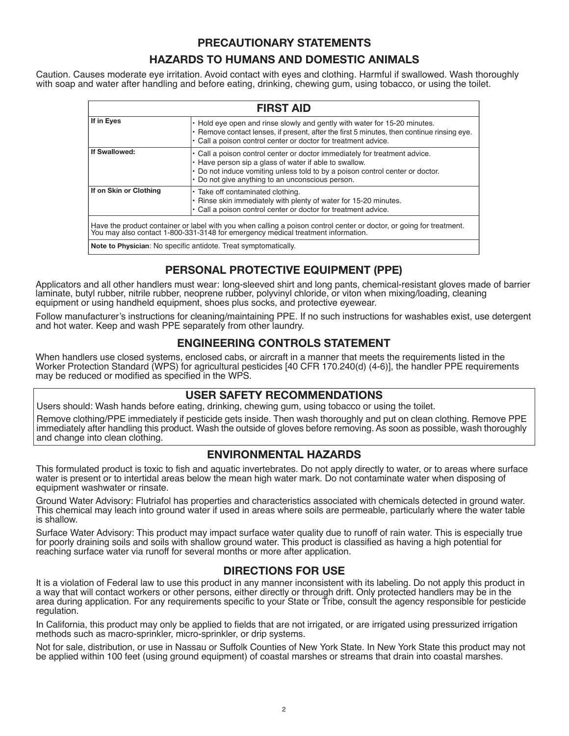### **PRECAUTIONARY STATEMENTS**

# **HAZARDS TO HUMANS AND DOMESTIC ANIMALS**

Caution. Causes moderate eye irritation. Avoid contact with eyes and clothing. Harmful if swallowed. Wash thoroughly with soap and water after handling and before eating, drinking, chewing gum, using tobacco, or using the toilet.

| <b>FIRST AID</b>                                                                                                                                                                                         |                                                                                                                                                                                                                                                                           |  |  |  |
|----------------------------------------------------------------------------------------------------------------------------------------------------------------------------------------------------------|---------------------------------------------------------------------------------------------------------------------------------------------------------------------------------------------------------------------------------------------------------------------------|--|--|--|
| If in Eyes                                                                                                                                                                                               | • Hold eye open and rinse slowly and gently with water for 15-20 minutes.<br>$\cdot$ Remove contact lenses, if present, after the first 5 minutes, then continue rinsing eye.<br>• Call a poison control center or doctor for treatment advice.                           |  |  |  |
| If Swallowed:                                                                                                                                                                                            | • Call a poison control center or doctor immediately for treatment advice.<br>• Have person sip a glass of water if able to swallow.<br>• Do not induce vomiting unless told to by a poison control center or doctor.<br>• Do not give anything to an unconscious person. |  |  |  |
| If on Skin or Clothing                                                                                                                                                                                   | • Take off contaminated clothing.<br>• Rinse skin immediately with plenty of water for 15-20 minutes.<br>• Call a poison control center or doctor for treatment advice.                                                                                                   |  |  |  |
| Have the product container or label with you when calling a poison control center or doctor, or going for treatment.<br>You may also contact 1-800-331-3148 for emergency medical treatment information. |                                                                                                                                                                                                                                                                           |  |  |  |
| Note to Physician: No specific antidote. Treat symptomatically.                                                                                                                                          |                                                                                                                                                                                                                                                                           |  |  |  |

# **PERSONAL PROTECTIVE EQUIPMENT (PPE)**

Applicators and all other handlers must wear: long-sleeved shirt and long pants, chemical-resistant gloves made of barrier laminate, butyl rubber, nitrile rubber, neoprene rubber, polyvinyl chloride, or viton when mixing/loading, cleaning equipment or using handheld equipment, shoes plus socks, and protective eyewear.

Follow manufacturer's instructions for cleaning/maintaining PPE. If no such instructions for washables exist, use detergent and hot water. Keep and wash PPE separately from other laundry.

# **ENGINEERING CONTROLS STATEMENT**

When handlers use closed systems, enclosed cabs, or aircraft in a manner that meets the requirements listed in the Worker Protection Standard (WPS) for agricultural pesticides [40 CFR 170.240(d) (4-6)], the handler PPE requirements may be reduced or modified as specified in the WPS.

# **USER SAFETY RECOMMENDATIONS**

Users should: Wash hands before eating, drinking, chewing gum, using tobacco or using the toilet.

Remove clothing/PPE immediately if pesticide gets inside. Then wash thoroughly and put on clean clothing. Remove PPE immediately after handling this product. Wash the outside of gloves before removing. As soon as possible, wash thoroughly and change into clean clothing.

### **ENVIRONMENTAL HAZARDS**

This formulated product is toxic to fish and aquatic invertebrates. Do not apply directly to water, or to areas where surface water is present or to intertidal areas below the mean high water mark. Do not contaminate water when disposing of equipment washwater or rinsate.

Ground Water Advisory: Flutriafol has properties and characteristics associated with chemicals detected in ground water. This chemical may leach into ground water if used in areas where soils are permeable, particularly where the water table is shallow.

Surface Water Advisory: This product may impact surface water quality due to runoff of rain water. This is especially true for poorly draining soils and soils with shallow ground water. This product is classified as having a high potential for reaching surface water via runoff for several months or more after application.

# **DIRECTIONS FOR USE**

It is a violation of Federal law to use this product in any manner inconsistent with its labeling. Do not apply this product in a way that will contact workers or other persons, either directly or through drift. Only protected handlers may be in the area during application. For any requirements specific to your State or Tribe, consult the agency responsible for pesticide regulation.

In California, this product may only be applied to fields that are not irrigated, or are irrigated using pressurized irrigation methods such as macro-sprinkler, micro-sprinkler, or drip systems.

Not for sale, distribution, or use in Nassau or Suffolk Counties of New York State. In New York State this product may not be applied within 100 feet (using ground equipment) of coastal marshes or streams that drain into coastal marshes.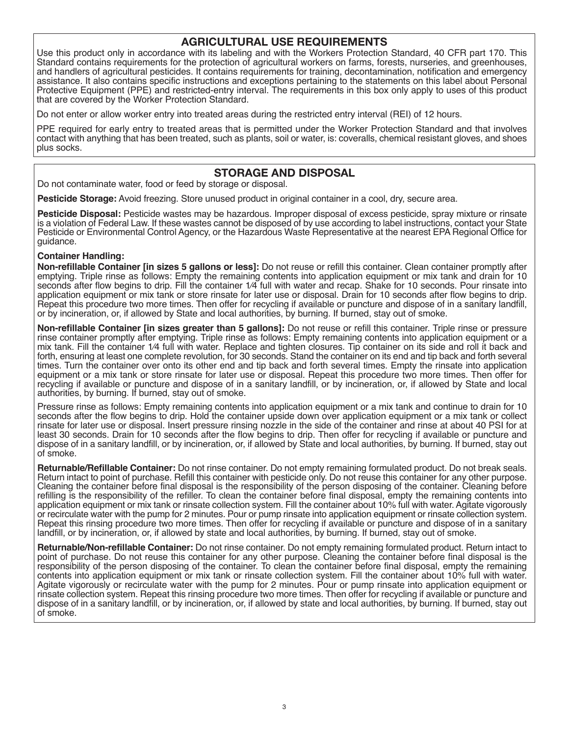### **AGRICULTURAL USE REQUIREMENTS**

Use this product only in accordance with its labeling and with the Workers Protection Standard, 40 CFR part 170. This Standard contains requirements for the protection of agricultural workers on farms, forests, nurseries, and greenhouses, and handlers of agricultural pesticides. It contains requirements for training, decontamination, notification and emergency assistance. It also contains specific instructions and exceptions pertaining to the statements on this label about Personal Protective Equipment (PPE) and restricted-entry interval. The requirements in this box only apply to uses of this product that are covered by the Worker Protection Standard.

Do not enter or allow worker entry into treated areas during the restricted entry interval (REI) of 12 hours.

PPE required for early entry to treated areas that is permitted under the Worker Protection Standard and that involves contact with anything that has been treated, such as plants, soil or water, is: coveralls, chemical resistant gloves, and shoes plus socks.

### **STORAGE AND DISPOSAL**

Do not contaminate water, food or feed by storage or disposal.

**Pesticide Storage:** Avoid freezing. Store unused product in original container in a cool, dry, secure area.

**Pesticide Disposal:** Pesticide wastes may be hazardous. Improper disposal of excess pesticide, spray mixture or rinsate is a violation of Federal Law. If these wastes cannot be disposed of by use according to label instructions, contact your State Pesticide or Environmental Control Agency, or the Hazardous Waste Representative at the nearest EPA Regional Office for guidance.

#### **Container Handling:**

**Non-refillable Container [in sizes 5 gallons or less]:** Do not reuse or refill this container. Clean container promptly after emptying. Triple rinse as follows: Empty the remaining contents into application equipment or mix tank and drain for 10 seconds after flow begins to drip. Fill the container 1⁄4 full with water and recap. Shake for 10 seconds. Pour rinsate into application equipment or mix tank or store rinsate for later use or disposal. Drain for 10 seconds after flow begins to drip. Repeat this procedure two more times. Then offer for recycling if available or puncture and dispose of in a sanitary landfill, or by incineration, or, if allowed by State and local authorities, by burning. If burned, stay out of smoke.

**Non-refillable Container [in sizes greater than 5 gallons]:** Do not reuse or refill this container. Triple rinse or pressure rinse container promptly after emptying. Triple rinse as follows: Empty remaining contents into application equipment or a mix tank. Fill the container 1/4 full with water. Replace and tighten closures. Tip container on its side and roll it back and forth, ensuring at least one complete revolution, for 30 seconds. Stand the container on its end and tip back and forth several times. Turn the container over onto its other end and tip back and forth several times. Empty the rinsate into application equipment or a mix tank or store rinsate for later use or disposal. Repeat this procedure two more times. Then offer for recycling if available or puncture and dispose of in a sanitary landfill, or by incineration, or, if allowed by State and local authorities, by burning. If burned, stay out of smoke.

Pressure rinse as follows: Empty remaining contents into application equipment or a mix tank and continue to drain for 10 seconds after the flow begins to drip. Hold the container upside down over application equipment or a mix tank or collect rinsate for later use or disposal. Insert pressure rinsing nozzle in the side of the container and rinse at about 40 PSI for at least 30 seconds. Drain for 10 seconds after the flow begins to drip. Then offer for recycling if available or puncture and dispose of in a sanitary landfill, or by incineration, or, if allowed by State and local authorities, by burning. If burned, stay out of smoke.

**Returnable/Refillable Container:** Do not rinse container. Do not empty remaining formulated product. Do not break seals. Return intact to point of purchase. Refill this container with pesticide only. Do not reuse this container for any other purpose. Cleaning the container before final disposal is the responsibility of the person disposing of the container. Cleaning before refilling is the responsibility of the refiller. To clean the container before final disposal, empty the remaining contents into application equipment or mix tank or rinsate collection system. Fill the container about 10% full with water. Agitate vigorously or recirculate water with the pump for 2 minutes. Pour or pump rinsate into application equipment or rinsate collection system. Repeat this rinsing procedure two more times. Then offer for recycling if available or puncture and dispose of in a sanitary landfill, or by incineration, or, if allowed by state and local authorities, by burning. If burned, stay out of smoke.

**Returnable/Non-refillable Container:** Do not rinse container. Do not empty remaining formulated product. Return intact to point of purchase. Do not reuse this container for any other purpose. Cleaning the container before final disposal is the responsibility of the person disposing of the container. To clean the container before final disposal, empty the remaining contents into application equipment or mix tank or rinsate collection system. Fill the container about 10% full with water. Agitate vigorously or recirculate water with the pump for 2 minutes. Pour or pump rinsate into application equipment or rinsate collection system. Repeat this rinsing procedure two more times. Then offer for recycling if available or puncture and dispose of in a sanitary landfill, or by incineration, or, if allowed by state and local authorities, by burning. If burned, stay out of smoke.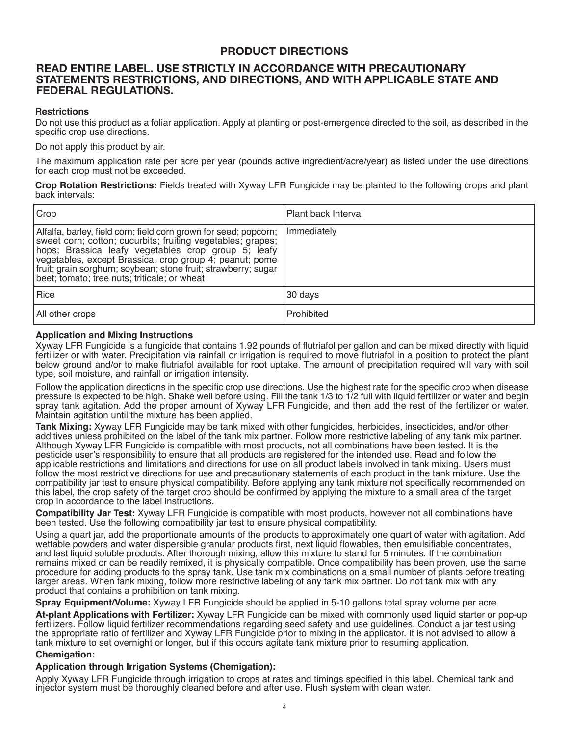# **PRODUCT DIRECTIONS**

### **READ ENTIRE LABEL. USE STRICTLY IN ACCORDANCE WITH PRECAUTIONARY STATEMENTS RESTRICTIONS, AND DIRECTIONS, AND WITH APPLICABLE STATE AND FEDERAL REGULATIONS.**

#### **Restrictions**

Do not use this product as a foliar application. Apply at planting or post-emergence directed to the soil, as described in the specific crop use directions.

Do not apply this product by air.

The maximum application rate per acre per year (pounds active ingredient/acre/year) as listed under the use directions for each crop must not be exceeded.

**Crop Rotation Restrictions:** Fields treated with Xyway LFR Fungicide may be planted to the following crops and plant back intervals:

| Crop                                                                                                                                                                                                                                                                                                                                                               | Plant back Interval |
|--------------------------------------------------------------------------------------------------------------------------------------------------------------------------------------------------------------------------------------------------------------------------------------------------------------------------------------------------------------------|---------------------|
| Alfalfa, barley, field corn; field corn grown for seed; popcorn;<br>sweet corn; cotton; cucurbits; fruiting vegetables; grapes;<br>hops; Brassica leafy vegetables crop group 5; leafy<br>vegetables, except Brassica, crop group 4; peanut; pome<br>fruit; grain sorghum; soybean; stone fruit; strawberry; sugar<br>beet; tomato; tree nuts; triticale; or wheat | Immediately         |
| Rice                                                                                                                                                                                                                                                                                                                                                               | 30 days             |
| All other crops                                                                                                                                                                                                                                                                                                                                                    | Prohibited          |

#### **Application and Mixing Instructions**

Xyway LFR Fungicide is a fungicide that contains 1.92 pounds of flutriafol per gallon and can be mixed directly with liquid fertilizer or with water. Precipitation via rainfall or irrigation is required to move flutriafol in a position to protect the plant below ground and/or to make flutriafol available for root uptake. The amount of precipitation required will vary with soil type, soil moisture, and rainfall or irrigation intensity.

Follow the application directions in the specific crop use directions. Use the highest rate for the specific crop when disease pressure is expected to be high. Shake well before using. Fill the tank 1/3 to 1/2 full with liquid fertilizer or water and begin spray tank agitation. Add the proper amount of Xyway LFR Fungicide, and then add the rest of the fertilizer or water. Maintain agitation until the mixture has been applied.

**Tank Mixing:** Xyway LFR Fungicide may be tank mixed with other fungicides, herbicides, insecticides, and/or other additives unless prohibited on the label of the tank mix partner. Follow more restrictive labeling of any tank mix partner. Although Xyway LFR Fungicide is compatible with most products, not all combinations have been tested. It is the pesticide user's responsibility to ensure that all products are registered for the intended use. Read and follow the applicable restrictions and limitations and directions for use on all product labels involved in tank mixing. Users must follow the most restrictive directions for use and precautionary statements of each product in the tank mixture. Use the compatibility jar test to ensure physical compatibility. Before applying any tank mixture not specifically recommended on this label, the crop safety of the target crop should be confirmed by applying the mixture to a small area of the target crop in accordance to the label instructions.

**Compatibility Jar Test:** Xyway LFR Fungicide is compatible with most products, however not all combinations have been tested. Use the following compatibility jar test to ensure physical compatibility.

Using a quart jar, add the proportionate amounts of the products to approximately one quart of water with agitation. Add wettable powders and water dispersible granular products first, next liquid flowables, then emulsifiable concentrates, and last liquid soluble products. After thorough mixing, allow this mixture to stand for 5 minutes. If the combination remains mixed or can be readily remixed, it is physically compatible. Once compatibility has been proven, use the same procedure for adding products to the spray tank. Use tank mix combinations on a small number of plants before treating larger areas. When tank mixing, follow more restrictive labeling of any tank mix partner. Do not tank mix with any product that contains a prohibition on tank mixing.

**Spray Equipment/Volume:** Xyway LFR Fungicide should be applied in 5-10 gallons total spray volume per acre.

**At-plant Applications with Fertilizer:** Xyway LFR Fungicide can be mixed with commonly used liquid starter or pop-up fertilizers. Follow liquid fertilizer recommendations regarding seed safety and use guidelines. Conduct a jar test using the appropriate ratio of fertilizer and Xyway LFR Fungicide prior to mixing in the applicator. It is not advised to allow a tank mixture to set overnight or longer, but if this occurs agitate tank mixture prior to resuming application.

#### **Chemigation:**

#### **Application through Irrigation Systems (Chemigation):**

Apply Xyway LFR Fungicide through irrigation to crops at rates and timings specified in this label. Chemical tank and injector system must be thoroughly cleaned before and after use. Flush system with clean water.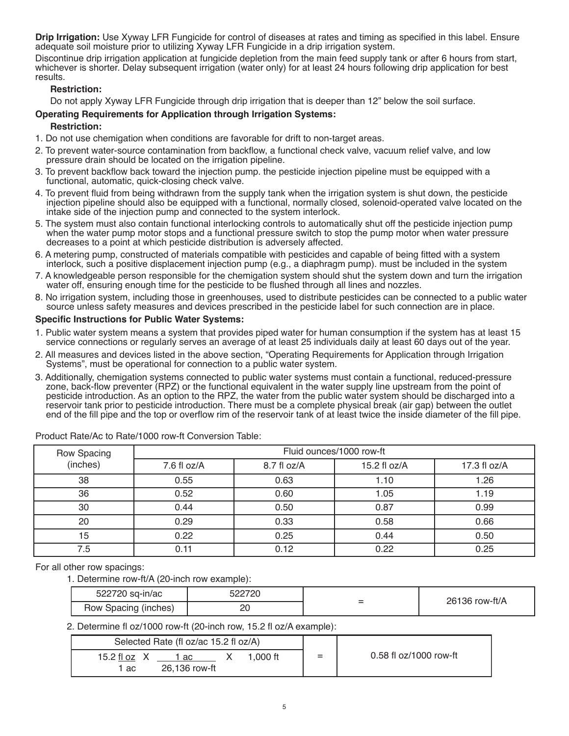**Drip Irrigation:** Use Xyway LFR Fungicide for control of diseases at rates and timing as specified in this label. Ensure adequate soil moisture prior to utilizing Xyway LFR Fungicide in a drip irrigation system.

Discontinue drip irrigation application at fungicide depletion from the main feed supply tank or after 6 hours from start, whichever is shorter. Delay subsequent irrigation (water only) for at least 24 hours following drip application for best results.

#### **Restriction:**

Do not apply Xyway LFR Fungicide through drip irrigation that is deeper than 12" below the soil surface.

#### **Operating Requirements for Application through Irrigation Systems:**

# **Restriction:**

- 1. Do not use chemigation when conditions are favorable for drift to non-target areas.
- 2. To prevent water-source contamination from backflow, a functional check valve, vacuum relief valve, and low pressure drain should be located on the irrigation pipeline.
- 3. To prevent backflow back toward the injection pump. the pesticide injection pipeline must be equipped with a functional, automatic, quick-closing check valve.
- 4. To prevent fluid from being withdrawn from the supply tank when the irrigation system is shut down, the pesticide injection pipeline should also be equipped with a functional, normally closed, solenoid-operated valve located on the intake side of the injection pump and connected to the system interlock.
- 5. The system must also contain functional interlocking controls to automatically shut off the pesticide injection pump when the water pump motor stops and a functional pressure switch to stop the pump motor when water pressure decreases to a point at which pesticide distribution is adversely affected.
- 6. A metering pump, constructed of materials compatible with pesticides and capable of being fitted with a system interlock, such a positive displacement injection pump (e.g., a diaphragm pump). must be included in the system
- 7. A knowledgeable person responsible for the chemigation system should shut the system down and turn the irrigation water off, ensuring enough time for the pesticide to be flushed through all lines and nozzles.
- 8. No irrigation system, including those in greenhouses, used to distribute pesticides can be connected to a public water source unless safety measures and devices prescribed in the pesticide label for such connection are in place.

#### **Specific Instructions for Public Water Systems:**

- 1. Public water system means a system that provides piped water for human consumption if the system has at least 15 service connections or regularly serves an average of at least 25 individuals daily at least 60 days out of the year.
- 2. All measures and devices listed in the above section, "Operating Requirements for Application through Irrigation Systems", must be operational for connection to a public water system.
- 3. Additionally, chemigation systems connected to public water systems must contain a functional, reduced-pressure zone, back-flow preventer (RPZ) or the functional equivalent in the water supply line upstream from the point of pesticide introduction. As an option to the RPZ, the water from the public water system should be discharged into a reservoir tank prior to pesticide introduction. There must be a complete physical break (air gap) between the outlet end of the fill pipe and the top or overflow rim of the reservoir tank of at least twice the inside diameter of the fill pipe.

| Row Spacing | Fluid ounces/1000 row-ft |             |                |              |  |  |
|-------------|--------------------------|-------------|----------------|--------------|--|--|
| (inches)    | $7.6$ fl oz/A            | 8.7 fl oz/A | 15.2 fl $oz/A$ | 17.3 fl oz/A |  |  |
| 38          | 0.55                     | 0.63        | 1.10           | 1.26         |  |  |
| 36          | 0.52                     | 0.60        | 1.05           | 1.19         |  |  |
| 30          | 0.44                     | 0.50        | 0.87           | 0.99         |  |  |
| 20          | 0.29                     | 0.33        | 0.58           | 0.66         |  |  |
| 15          | 0.22                     | 0.25        | 0.44           | 0.50         |  |  |
| 7.5         | 0.11                     | 0.12        | 0.22           | 0.25         |  |  |

Product Rate/Ac to Rate/1000 row-ft Conversion Table:

For all other row spacings:

1. Determine row-ft/A (20-inch row example):

| 522720 sq-in/ac      | 522720  | $\overline{\phantom{a}}$ | 26136 row-ft/A |
|----------------------|---------|--------------------------|----------------|
| Row Spacing (inches) | nr<br>∼ | $\overline{\phantom{0}}$ |                |

2. Determine fl oz/1000 row-ft (20-inch row, 15.2 fl oz/A example):

| Selected Rate (fl oz/ac 15.2 fl oz/A) |                     |  |         |   |                        |
|---------------------------------------|---------------------|--|---------|---|------------------------|
| 15.2 fl oz<br>1 ac                    | ac<br>26.136 row-ft |  | .000 ft | = | 0.58 fl oz/1000 row-ft |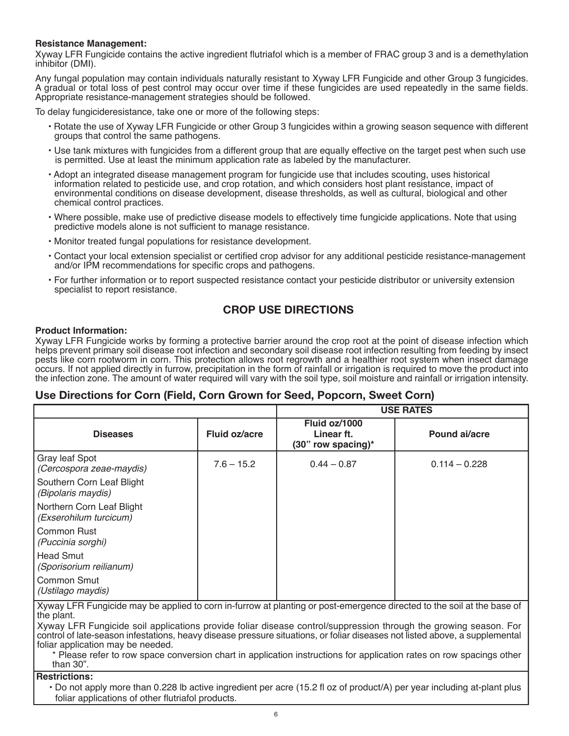#### **Resistance Management:**

Xyway LFR Fungicide contains the active ingredient flutriafol which is a member of FRAC group 3 and is a demethylation inhibitor (DMI).

Any fungal population may contain individuals naturally resistant to Xyway LFR Fungicide and other Group 3 fungicides. A gradual or total loss of pest control may occur over time if these fungicides are used repeatedly in the same fields. Appropriate resistance-management strategies should be followed.

To delay fungicideresistance, take one or more of the following steps:

- Rotate the use of Xyway LFR Fungicide or other Group 3 fungicides within a growing season sequence with different groups that control the same pathogens.
- Use tank mixtures with fungicides from a different group that are equally effective on the target pest when such use is permitted. Use at least the minimum application rate as labeled by the manufacturer.
- Adopt an integrated disease management program for fungicide use that includes scouting, uses historical information related to pesticide use, and crop rotation, and which considers host plant resistance, impact of environmental conditions on disease development, disease thresholds, as well as cultural, biological and other chemical control practices.
- Where possible, make use of predictive disease models to effectively time fungicide applications. Note that using predictive models alone is not sufficient to manage resistance.
- Monitor treated fungal populations for resistance development.
- Contact your local extension specialist or certified crop advisor for any additional pesticide resistance-management and/or IPM recommendations for specific crops and pathogens.
- For further information or to report suspected resistance contact your pesticide distributor or university extension specialist to report resistance.

# **CROP USE DIRECTIONS**

#### **Product Information:**

Xyway LFR Fungicide works by forming a protective barrier around the crop root at the point of disease infection which helps prevent primary soil disease root infection and secondary soil disease root infection resulting from feeding by insect pests like corn rootworm in corn. This protection allows root regrowth and a healthier root system when insect damage occurs. If not applied directly in furrow, precipitation in the form of rainfall or irrigation is required to move the product into the infection zone. The amount of water required will vary with the soil type, soil moisture and rainfall or irrigation intensity.

### **Use Directions for Corn (Field, Corn Grown for Seed, Popcorn, Sweet Corn)**

|                                                     |               | <b>USE RATES</b>                                  |                 |
|-----------------------------------------------------|---------------|---------------------------------------------------|-----------------|
| <b>Diseases</b>                                     | Fluid oz/acre | Fluid oz/1000<br>Linear ft.<br>(30" row spacing)* | Pound ai/acre   |
| Gray leaf Spot<br>(Cercospora zeae-maydis)          | $7.6 - 15.2$  | $0.44 - 0.87$                                     | $0.114 - 0.228$ |
| Southern Corn Leaf Blight<br>(Bipolaris maydis)     |               |                                                   |                 |
| Northern Corn Leaf Blight<br>(Exserohilum turcicum) |               |                                                   |                 |
| Common Rust<br>(Puccinia sorghi)                    |               |                                                   |                 |
| Head Smut<br>(Sporisorium reilianum)                |               |                                                   |                 |
| <b>Common Smut</b><br>(Ustilago maydis)             |               |                                                   |                 |

Xyway LFR Fungicide may be applied to corn in-furrow at planting or post-emergence directed to the soil at the base of the plant.

Xyway LFR Fungicide soil applications provide foliar disease control/suppression through the growing season. For control of late-season infestations, heavy disease pressure situations, or foliar diseases not listed above, a supplemental foliar application may be needed.

\* Please refer to row space conversion chart in application instructions for application rates on row spacings other than 30".

#### **Restrictions:**

• Do not apply more than 0.228 lb active ingredient per acre (15.2 fl oz of product/A) per year including at-plant plus foliar applications of other flutriafol products.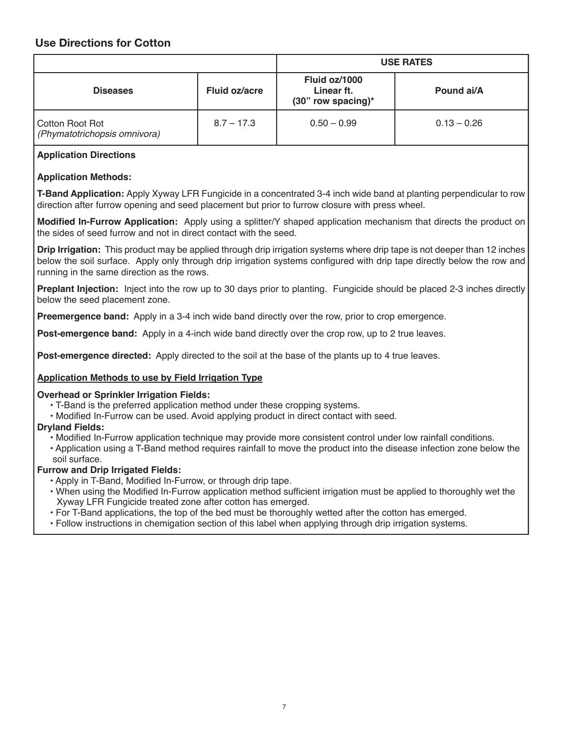# **Use Directions for Cotton**

|                                                 |              | <b>USE RATES</b>                                    |               |  |
|-------------------------------------------------|--------------|-----------------------------------------------------|---------------|--|
| Fluid oz/acre<br><b>Diseases</b>                |              | Fluid oz/1000<br>Linear ft.<br>$(30"$ row spacing)* | Pound ai/A    |  |
| Cotton Root Rot<br>(Phymatotrichopsis omnivora) | $8.7 - 17.3$ | $0.50 - 0.99$                                       | $0.13 - 0.26$ |  |

### **Application Directions**

### **Application Methods:**

**T-Band Application:** Apply Xyway LFR Fungicide in a concentrated 3-4 inch wide band at planting perpendicular to row direction after furrow opening and seed placement but prior to furrow closure with press wheel.

**Modified In-Furrow Application:** Apply using a splitter/Y shaped application mechanism that directs the product on the sides of seed furrow and not in direct contact with the seed.

**Drip Irrigation:** This product may be applied through drip irrigation systems where drip tape is not deeper than 12 inches below the soil surface. Apply only through drip irrigation systems configured with drip tape directly below the row and running in the same direction as the rows.

**Preplant Injection:** Inject into the row up to 30 days prior to planting. Fungicide should be placed 2-3 inches directly below the seed placement zone.

**Preemergence band:** Apply in a 3-4 inch wide band directly over the row, prior to crop emergence.

**Post-emergence band:** Apply in a 4-inch wide band directly over the crop row, up to 2 true leaves.

**Post-emergence directed:** Apply directed to the soil at the base of the plants up to 4 true leaves.

#### **Application Methods to use by Field Irrigation Type**

#### **Overhead or Sprinkler Irrigation Fields:**

- T-Band is the preferred application method under these cropping systems.
- Modified In-Furrow can be used. Avoid applying product in direct contact with seed.

#### **Dryland Fields:**

- Modified In-Furrow application technique may provide more consistent control under low rainfall conditions.
- Application using a T-Band method requires rainfall to move the product into the disease infection zone below the soil surface.

#### **Furrow and Drip Irrigated Fields:**

- Apply in T-Band, Modified In-Furrow, or through drip tape.
- When using the Modified In-Furrow application method sufficient irrigation must be applied to thoroughly wet the Xyway LFR Fungicide treated zone after cotton has emerged.
- For T-Band applications, the top of the bed must be thoroughly wetted after the cotton has emerged.
- Follow instructions in chemigation section of this label when applying through drip irrigation systems.